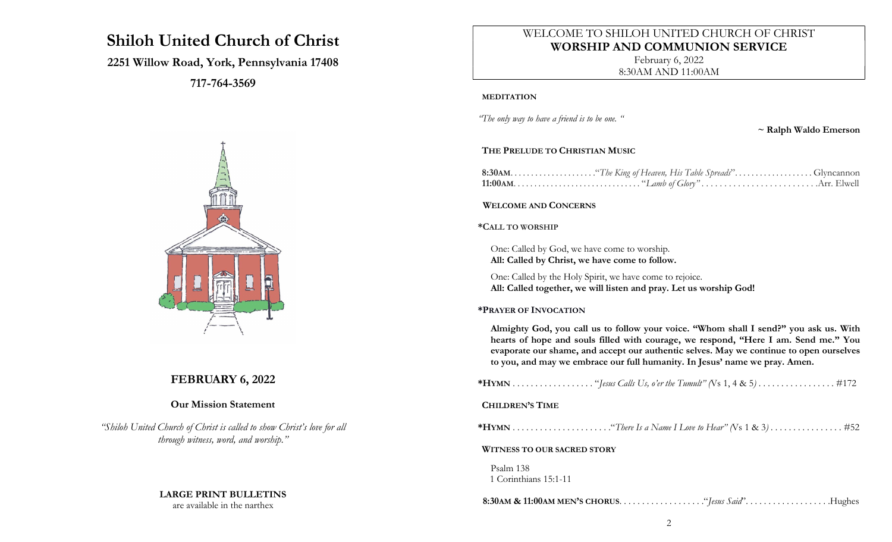# Shiloh United Church of Christ

## 2251 Willow Road, York, Pennsylvania 17408

717-764-3569



# FEBRUARY 6, 2022

## Our Mission Statement

"Shiloh United Church of Christ is called to show Christ's love for all through witness, word, and worship."

## LARGE PRINT BULLETINS

are available in the narthex

# WELCOME TO SHILOH UNITED CHURCH OF CHRIST WORSHIP AND COMMUNION SERVICE

February 6, 2022 8:30AM AND 11:00AM

#### MEDITATION

"The only way to have a friend is to be one. "

~ Ralph Waldo Emerson

#### THE PRELUDE TO CHRISTIAN MUSIC

#### WELCOME AND CONCERNS

#### \*CALL TO WORSHIP

One: Called by God, we have come to worship. All: Called by Christ, we have come to follow.

One: Called by the Holy Spirit, we have come to rejoice. All: Called together, we will listen and pray. Let us worship God!

#### \*PRAYER OF INVOCATION

Almighty God, you call us to follow your voice. "Whom shall I send?" you ask us. With hearts of hope and souls filled with courage, we respond, "Here I am. Send me." You evaporate our shame, and accept our authentic selves. May we continue to open ourselves to you, and may we embrace our full humanity. In Jesus' name we pray. Amen.

| <b>CHILDREN'S TIME</b>             |
|------------------------------------|
|                                    |
| <b>WITNESS TO OUR SACRED STORY</b> |
| Psalm 138<br>1 Corinthians 15:1-11 |
|                                    |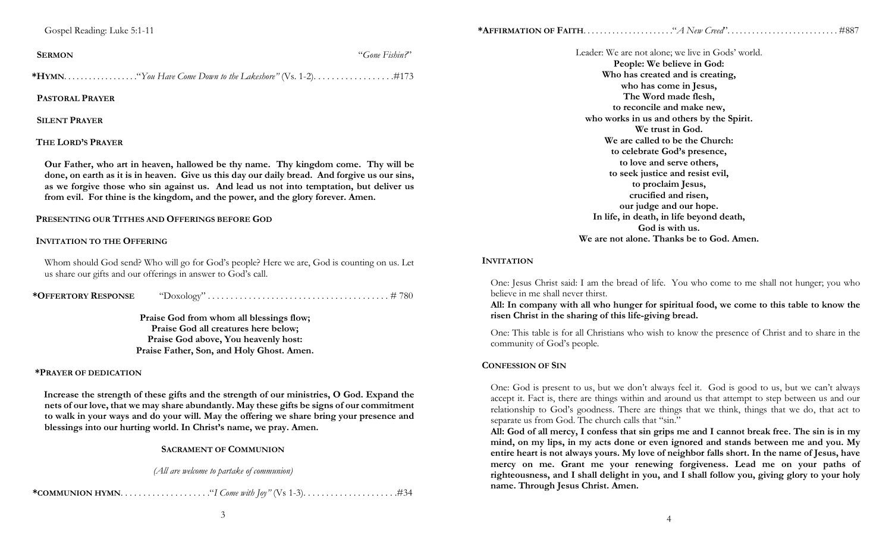|--|--|--|

| <b>SERMON</b> | "Gone Fishin?" |
|---------------|----------------|
|               |                |

\*HYMN. . . . . . . . . . . . . . . . . ."You Have Come Down to the Lakeshore" (Vs. 1-2). . . . . . . . . . . . . . . . . .#173

PASTORAL PRAYER

SILENT PRAYER

#### THE LORD'S PRAYER

Our Father, who art in heaven, hallowed be thy name. Thy kingdom come. Thy will be done, on earth as it is in heaven. Give us this day our daily bread. And forgive us our sins, as we forgive those who sin against us. And lead us not into temptation, but deliver us from evil. For thine is the kingdom, and the power, and the glory forever. Amen.

#### PRESENTING OUR TITHES AND OFFERINGS BEFORE GOD

#### INVITATION TO THE OFFERING

Whom should God send? Who will go for God's people? Here we are, God is counting on us. Let us share our gifts and our offerings in answer to God's call.

\*OFFERTORY RESPONSE "Doxology" . . . . . . . . . . . . . . . . . . . . . . . . . . . . . . . . . . . . . . . . # 780

Praise God from whom all blessings flow; Praise God all creatures here below; Praise God above, You heavenly host: Praise Father, Son, and Holy Ghost. Amen.

#### \*PRAYER OF DEDICATION

Increase the strength of these gifts and the strength of our ministries, O God. Expand the nets of our love, that we may share abundantly. May these gifts be signs of our commitment to walk in your ways and do your will. May the offering we share bring your presence and blessings into our hurting world. In Christ's name, we pray. Amen.

#### SACRAMENT OF COMMUNION

(All are welcome to partake of communion)

\*COMMUNION HYMN. . . . . . . . . . . . . . . . . . . ."I Come with Joy" (Vs 1-3). . . . . . . . . . . . . . . . . . . . .#34

Leader: We are not alone; we live in Gods' world.

People: We believe in God: Who has created and is creating, who has come in Jesus, The Word made flesh, to reconcile and make new, who works in us and others by the Spirit. We trust in God. We are called to be the Church: to celebrate God's presence, to love and serve others, to seek justice and resist evil, to proclaim Jesus, crucified and risen, our judge and our hope. In life, in death, in life beyond death, God is with us. We are not alone. Thanks be to God. Amen.

#### **INVITATION**

One: Jesus Christ said: I am the bread of life. You who come to me shall not hunger; you who believe in me shall never thirst.

All: In company with all who hunger for spiritual food, we come to this table to know the risen Christ in the sharing of this life-giving bread.

One: This table is for all Christians who wish to know the presence of Christ and to share in the community of God's people.

#### CONFESSION OF SIN

One: God is present to us, but we don't always feel it. God is good to us, but we can't always accept it. Fact is, there are things within and around us that attempt to step between us and our relationship to God's goodness. There are things that we think, things that we do, that act to separate us from God. The church calls that "sin."

All: God of all mercy, I confess that sin grips me and I cannot break free. The sin is in my mind, on my lips, in my acts done or even ignored and stands between me and you. My entire heart is not always yours. My love of neighbor falls short. In the name of Jesus, have mercy on me. Grant me your renewing forgiveness. Lead me on your paths of righteousness, and I shall delight in you, and I shall follow you, giving glory to your holy name. Through Jesus Christ. Amen.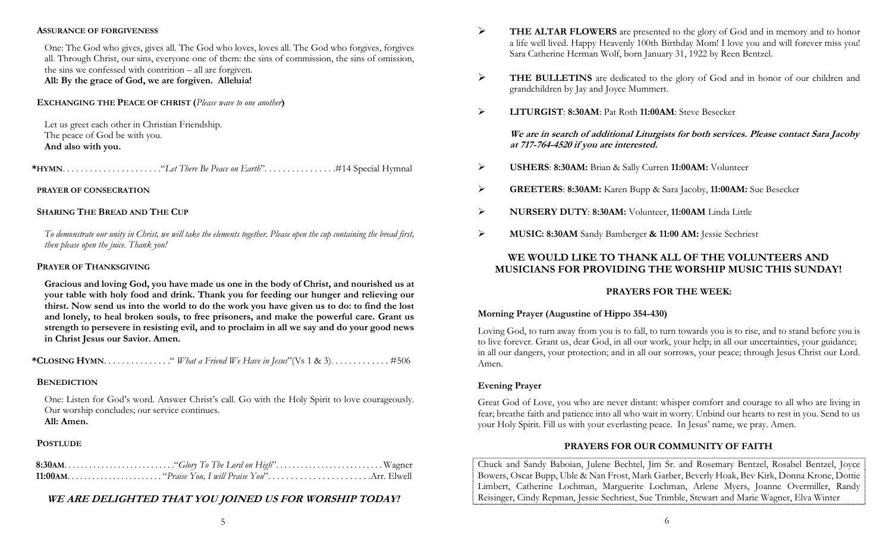#### ASSURANCE OF FORGIVENESS

One: The God who gives, gives all. The God who loves, loves all. The God who forgives, forgives all. Through Christ, our sins, everyone one of them: the sins of commission, the sins of omission, the sins we confessed with contrition – all are forgiven. All: By the grace of God, we are forgiven. Alleluia!

#### EXCHANGING THE PEACE OF CHRIST (Please wave to one another)

Let us greet each other in Christian Friendship. The peace of God be with you. And also with you.

\*HYMN. . . . . . . . . . . . . . . . . . . . . ."Let There Be Peace on Earth". . . . . . . . . . . . . . . .#14 Special Hymnal

#### PRAYER OF CONSECRATION

#### SHARING THE BREAD AND THE CUP

To demonstrate our unity in Christ, we will take the elements together. Please open the cup containing the bread first, then please open the juice. Thank you!

#### PRAYER OF THANKSGIVING

Gracious and loving God, you have made us one in the body of Christ, and nourished us at your table with holy food and drink. Thank you for feeding our hunger and relieving our thirst. Now send us into the world to do the work you have given us to do: to find the lost and lonely, to heal broken souls, to free prisoners, and make the powerful care. Grant us strength to persevere in resisting evil, and to proclaim in all we say and do your good news in Christ Jesus our Savior. Amen.

\*CLOSING HYMN. . . . . . . . . . . . . . ." What a Friend We Have in Jesus"(Vs 1 & 3). . . . . . . . . . . . . #506

## **BENEDICTION**

One: Listen for God's word. Answer Christ's call. Go with the Holy Spirit to love courageously. Our worship concludes; our service continues. All: Amen.

## **POSTLUDE**

# WE ARE DELIGHTED THAT YOU JOINED US FOR WORSHIP TODAY!

- $\triangleright$  THE ALTAR FLOWERS are presented to the glory of God and in memory and to honor a life well lived. Happy Heavenly 100th Birthday Mom! I love you and will forever miss you! Sara Catherine Herman Wolf, born January 31, 1922 by Reen Bentzel.
- THE BULLETINS are dedicated to the glory of God and in honor of our children and grandchildren by Jay and Joyce Mummert.
- EITURGIST: 8:30AM: Pat Roth 11:00AM: Steve Besecker

We are in search of additional Liturgists for both services. Please contact Sara Jacoby at 717-764-4520 if you are interested.

- USHERS: 8:30AM: Brian & Sally Curren 11:00AM: Volunteer
- GREETERS: 8:30AM: Karen Bupp & Sara Jacoby, 11:00AM: Sue Besecker
- NURSERY DUTY: 8:30AM: Volunteer, 11:00AM Linda Little
- MUSIC: 8:30AM Sandy Bamberger & 11:00 AM: Jessie Sechriest

## WE WOULD LIKE TO THANK ALL OF THE VOLUNTEERS AND MUSICIANS FOR PROVIDING THE WORSHIP MUSIC THIS SUNDAY!

## PRAYERS FOR THE WEEK:

## Morning Prayer (Augustine of Hippo 354-430)

Loving God, to turn away from you is to fall, to turn towards you is to rise, and to stand before you is to live forever. Grant us, dear God, in all our work, your help; in all our uncertainties, your guidance; in all our dangers, your protection; and in all our sorrows, your peace; through Jesus Christ our Lord. Amen.

## Evening Prayer

Great God of Love, you who are never distant: whisper comfort and courage to all who are living in fear; breathe faith and patience into all who wait in worry. Unbind our hearts to rest in you. Send to us your Holy Spirit. Fill us with your everlasting peace. In Jesus' name, we pray. Amen.

## PRAYERS FOR OUR COMMUNITY OF FAITH

Chuck and Sandy Baboian, Julene Bechtel, Jim Sr. and Rosemary Bentzel, Rosabel Bentzel, Joyce Bowers, Oscar Bupp, Uble & Nan Frost, Mark Garber, Beverly Hoak, Bev Kirk, Donna Krone, Dottie Limbert, Catherine Lochman, Marguerite Lochman, Arlene Myers, Joanne Overmiller, Randy Reisinger, Cindy Repman, Jessie Sechriest, Sue Trimble, Stewart and Marie Wagner, Elva Winter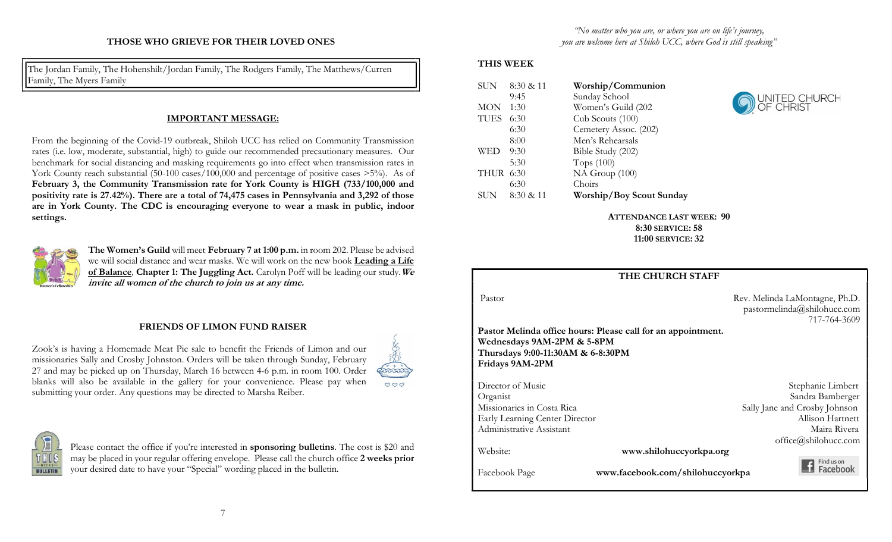The Jordan Family, The Hohenshilt/Jordan Family, The Rodgers Family, The Matthews/Curren Family, The Myers Family

## IMPORTANT MESSAGE:

From the beginning of the Covid-19 outbreak, Shiloh UCC has relied on Community Transmission rates (i.e. low, moderate, substantial, high) to guide our recommended precautionary measures. Our benchmark for social distancing and masking requirements go into effect when transmission rates in York County reach substantial (50-100 cases/100,000 and percentage of positive cases >5%). As of February 3, the Community Transmission rate for York County is HIGH (733/100,000 and positivity rate is 27.42%). There are a total of 74,475 cases in Pennsylvania and 3,292 of those are in York County. The CDC is encouraging everyone to wear a mask in public, indoor settings.



The Women's Guild will meet February 7 at 1:00 p.m. in room 202. Please be advised we will social distance and wear masks. We will work on the new book Leading a Life of Balance, Chapter 1: The Juggling Act. Carolyn Poff will be leading our study. We invite all women of the church to join us at any time.

## FRIENDS OF LIMON FUND RAISER

Zook's is having a Homemade Meat Pie sale to benefit the Friends of Limon and our missionaries Sally and Crosby Johnston. Orders will be taken through Sunday, February 27 and may be picked up on Thursday, March 16 between 4-6 p.m. in room 100. Order blanks will also be available in the gallery for your convenience. Please pay when submitting your order. Any questions may be directed to Marsha Reiber.





Please contact the office if you're interested in **sponsoring bulletins**. The cost is \$20 and may be placed in your regular offering envelope. Please call the church office 2 weeks prior your desired date to have your "Special" wording placed in the bulletin.

#### THIS WEEK

| SUN        | 8:30 & 11 | Worship/Communion        |
|------------|-----------|--------------------------|
|            | 9:45      | Sunday School            |
| <b>MON</b> | 1:30      | Women's Guild (202       |
| TUES       | 6:30      | Cub Scouts (100)         |
|            | 6:30      | Cemetery Assoc. (202)    |
|            | 8:00      | Men's Rehearsals         |
| WED        | 9:30      | Bible Study (202)        |
|            | 5:30      | Tops $(100)$             |
| THUR 6:30  |           | NA Group (100)           |
|            | 6:30      | Choirs                   |
| SUN        | 8:30 & 11 | Worship/Boy Scout Sunday |



ATTENDANCE LAST WEEK: 90 8:30 SERVICE: 58 11:00 SERVICE: 32

|                                                                                    | <b>THE CHURCH STAFF</b>                                      |                                                                               |
|------------------------------------------------------------------------------------|--------------------------------------------------------------|-------------------------------------------------------------------------------|
| Pastor                                                                             |                                                              | Rev. Melinda LaMontagne, Ph.D.<br>pastormelinda@shilohucc.com<br>717-764-3609 |
| Wednesdays 9AM-2PM & 5-8PM<br>Thursdays 9:00-11:30AM & 6-8:30PM<br>Fridays 9AM-2PM | Pastor Melinda office hours: Please call for an appointment. |                                                                               |
| Director of Music                                                                  |                                                              | Stephanie Limbert                                                             |
| Organist                                                                           |                                                              | Sandra Bamberger                                                              |
| Missionaries in Costa Rica                                                         |                                                              | Sally Jane and Crosby Johnson                                                 |
| Early Learning Center Director                                                     |                                                              | Allison Hartnett                                                              |
| Administrative Assistant                                                           |                                                              | Maira Rivera                                                                  |
|                                                                                    |                                                              | office@shilohucc.com                                                          |
| Website:                                                                           | www.shilohuccyorkpa.org                                      |                                                                               |
| Facebook Page                                                                      | www.facebook.com/shilohuccyorkpa                             | Findus on<br>Facebook                                                         |